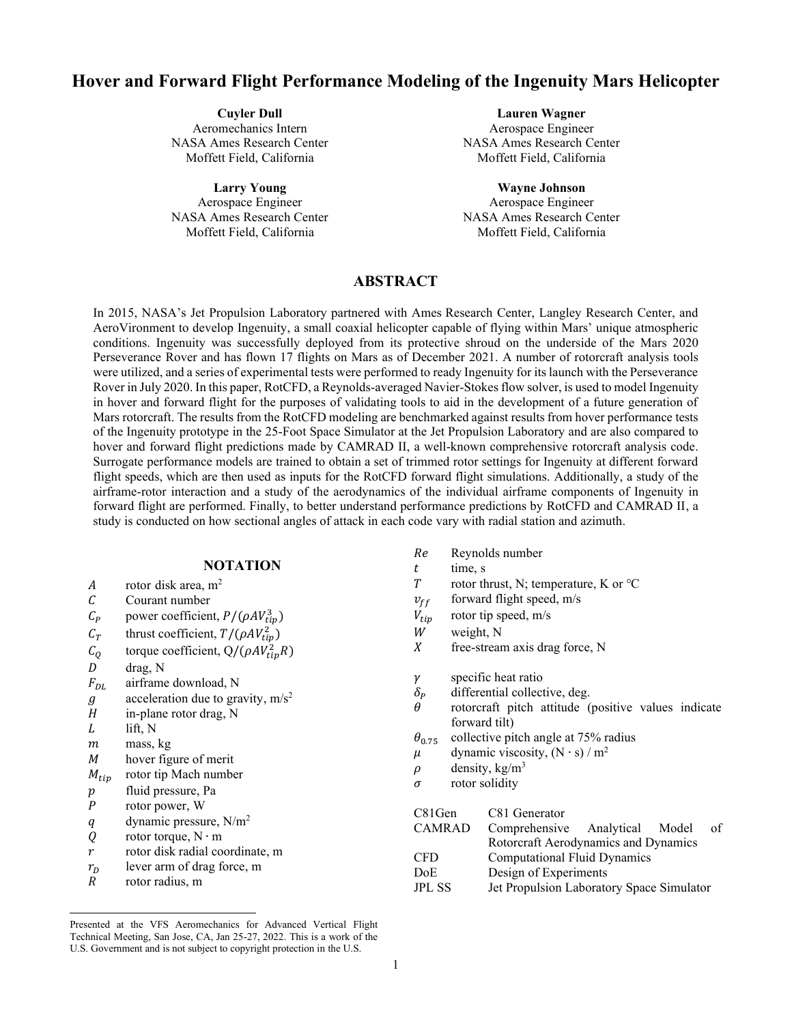# **Hover and Forward Flight Performance Modeling of the Ingenuity Mars Helicopter**

**Cuyler Dull** Aeromechanics Intern NASA Ames Research Center Moffett Field, California

**Larry Young** Aerospace Engineer NASA Ames Research Center Moffett Field, California

**Lauren Wagner**

Aerospace Engineer NASA Ames Research Center Moffett Field, California

**Wayne Johnson** Aerospace Engineer NASA Ames Research Center Moffett Field, California

# **ABSTRACT**

In 2015, NASA's Jet Propulsion Laboratory partnered with Ames Research Center, Langley Research Center, and AeroVironment to develop Ingenuity, a small coaxial helicopter capable of flying within Mars' unique atmospheric conditions. Ingenuity was successfully deployed from its protective shroud on the underside of the Mars 2020 Perseverance Rover and has flown 17 flights on Mars as of December 2021. A number of rotorcraft analysis tools were utilized, and a series of experimental tests were performed to ready Ingenuity for its launch with the Perseverance Rover in July 2020. In this paper, RotCFD, a Reynolds-averaged Navier-Stokes flow solver, is used to model Ingenuity in hover and forward flight for the purposes of validating tools to aid in the development of a future generation of Mars rotorcraft. The results from the RotCFD modeling are benchmarked against results from hover performance tests of the Ingenuity prototype in the 25-Foot Space Simulator at the Jet Propulsion Laboratory and are also compared to hover and forward flight predictions made by CAMRAD II, a well-known comprehensive rotorcraft analysis code. Surrogate performance models are trained to obtain a set of trimmed rotor settings for Ingenuity at different forward flight speeds, which are then used as inputs for the RotCFD forward flight simulations. Additionally, a study of the airframe-rotor interaction and a study of the aerodynamics of the individual airframe components of Ingenuity in forward flight are performed. Finally, to better understand performance predictions by RotCFD and CAMRAD II, a study is conducted on how sectional angles of attack in each code vary with radial station and azimuth.

# **NOTATION**

- A rotor disk area,  $m^2$
- Courant number
- $C_P$  power coefficient,  $P/(\rho A V_{tip}^3)$
- $C_T$  thrust coefficient,  $T/(\rho A V_{tip}^2)$
- $C_Q$  torque coefficient,  $Q/(\rho A V_{tip}^2 R)$
- $D$  drag, N
- $F_{DL}$  airframe download, N
- $q$  acceleration due to gravity,  $m/s^2$
- $H$  in-plane rotor drag, N
- $L$  lift, N
- $m$  mass, kg
- M hover figure of merit
- $M_{tip}$  rotor tip Mach number
- p fluid pressure, Pa
- P rotor power, W
- $q$  dynamic pressure, N/m<sup>2</sup>
- $Q$  rotor torque, N ⋅ m
- $r$  rotor disk radial coordinate, m
- $r_D$  lever arm of drag force, m
- $R$  rotor radius, m
- Reynolds number
- $t$  time, s<br>  $T$  totor th
- rotor thrust, N; temperature, K or ℃
- $v_{ff}$  forward flight speed, m/s
- $V_{tip}$  rotor tip speed, m/s
- $W$  weight, N<br> $X$  free-stream
- free-stream axis drag force, N
- $\gamma$  specific heat ratio
- $\delta_P$  differential collective, deg.<br>  $\theta$  rotorcraft pitch attitude (
- rotorcraft pitch attitude (positive values indicate forward tilt)
- $\theta_{0.75}$  collective pitch angle at 75% radius
- $\mu$  dynamic viscosity, (N ⋅ s) / m<sup>2</sup>
- $\rho$  density, kg/m<sup>3</sup>
- $\sigma$  rotor solidity

| C81Gen        | C81 Generator                             |  |  |
|---------------|-------------------------------------------|--|--|
| <b>CAMRAD</b> | Comprehensive Analytical Model<br>of      |  |  |
|               | Rotorcraft Aerodynamics and Dynamics      |  |  |
| <b>CFD</b>    | <b>Computational Fluid Dynamics</b>       |  |  |
| DoE.          | Design of Experiments                     |  |  |
| <b>JPL SS</b> | Jet Propulsion Laboratory Space Simulator |  |  |

Presented at the VFS Aeromechanics for Advanced Vertical Flight Technical Meeting, San Jose, CA, Jan 25-27, 2022. This is a work of the U.S. Government and is not subject to copyright protection in the U.S.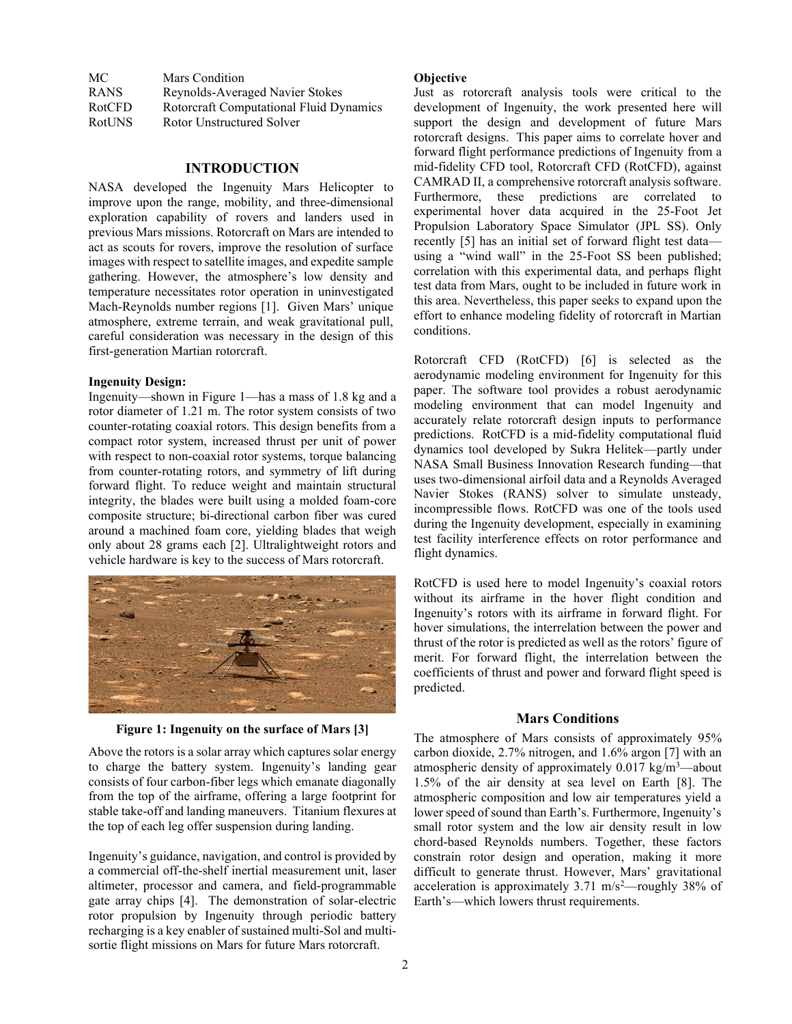| MC            | <b>Mars Condition</b>                   |
|---------------|-----------------------------------------|
| <b>RANS</b>   | Reynolds-Averaged Navier Stokes         |
| <b>RotCFD</b> | Rotorcraft Computational Fluid Dynamics |
| <b>RotUNS</b> | Rotor Unstructured Solver               |

### **INTRODUCTION**

NASA developed the Ingenuity Mars Helicopter to improve upon the range, mobility, and three-dimensional exploration capability of rovers and landers used in previous Mars missions. Rotorcraft on Mars are intended to act as scouts for rovers, improve the resolution of surface images with respect to satellite images, and expedite sample gathering. However, the atmosphere's low density and temperature necessitates rotor operation in uninvestigated Mach-Reynolds number regions [1]. Given Mars' unique atmosphere, extreme terrain, and weak gravitational pull, careful consideration was necessary in the design of this first-generation Martian rotorcraft.

### **Ingenuity Design:**

Ingenuity—shown in Figure 1—has a mass of 1.8 kg and a rotor diameter of 1.21 m. The rotor system consists of two counter-rotating coaxial rotors. This design benefits from a compact rotor system, increased thrust per unit of power with respect to non-coaxial rotor systems, torque balancing from counter-rotating rotors, and symmetry of lift during forward flight. To reduce weight and maintain structural integrity, the blades were built using a molded foam-core composite structure; bi-directional carbon fiber was cured around a machined foam core, yielding blades that weigh only about 28 grams each [2]. Ultralightweight rotors and vehicle hardware is key to the success of Mars rotorcraft.



**Figure 1: Ingenuity on the surface of Mars [3]**

Above the rotors is a solar array which captures solar energy to charge the battery system. Ingenuity's landing gear consists of four carbon-fiber legs which emanate diagonally from the top of the airframe, offering a large footprint for stable take-off and landing maneuvers. Titanium flexures at the top of each leg offer suspension during landing.

Ingenuity's guidance, navigation, and control is provided by a commercial off-the-shelf inertial measurement unit, laser altimeter, processor and camera, and field-programmable gate array chips [4]. The demonstration of solar-electric rotor propulsion by Ingenuity through periodic battery recharging is a key enabler of sustained multi-Sol and multisortie flight missions on Mars for future Mars rotorcraft.

### **Objective**

Just as rotorcraft analysis tools were critical to the development of Ingenuity, the work presented here will support the design and development of future Mars rotorcraft designs. This paper aims to correlate hover and forward flight performance predictions of Ingenuity from a mid-fidelity CFD tool, Rotorcraft CFD (RotCFD), against CAMRAD II, a comprehensive rotorcraft analysis software. Furthermore, these predictions are correlated to experimental hover data acquired in the 25-Foot Jet Propulsion Laboratory Space Simulator (JPL SS). Only recently [5] has an initial set of forward flight test data using a "wind wall" in the 25-Foot SS been published; correlation with this experimental data, and perhaps flight test data from Mars, ought to be included in future work in this area. Nevertheless, this paper seeks to expand upon the effort to enhance modeling fidelity of rotorcraft in Martian conditions.

Rotorcraft CFD (RotCFD) [6] is selected as the aerodynamic modeling environment for Ingenuity for this paper. The software tool provides a robust aerodynamic modeling environment that can model Ingenuity and accurately relate rotorcraft design inputs to performance predictions. RotCFD is a mid-fidelity computational fluid dynamics tool developed by Sukra Helitek—partly under NASA Small Business Innovation Research funding—that uses two-dimensional airfoil data and a Reynolds Averaged Navier Stokes (RANS) solver to simulate unsteady, incompressible flows. RotCFD was one of the tools used during the Ingenuity development, especially in examining test facility interference effects on rotor performance and flight dynamics.

RotCFD is used here to model Ingenuity's coaxial rotors without its airframe in the hover flight condition and Ingenuity's rotors with its airframe in forward flight. For hover simulations, the interrelation between the power and thrust of the rotor is predicted as well as the rotors' figure of merit. For forward flight, the interrelation between the coefficients of thrust and power and forward flight speed is predicted.

### **Mars Conditions**

The atmosphere of Mars consists of approximately 95% carbon dioxide, 2.7% nitrogen, and 1.6% argon [7] with an atmospheric density of approximately 0.017 kg/m<sup>3</sup>—about 1.5% of the air density at sea level on Earth [8]. The atmospheric composition and low air temperatures yield a lower speed of sound than Earth's. Furthermore, Ingenuity's small rotor system and the low air density result in low chord-based Reynolds numbers. Together, these factors constrain rotor design and operation, making it more difficult to generate thrust. However, Mars' gravitational acceleration is approximately  $3.71 \text{ m/s}^2$ —roughly  $38\%$  of Earth's—which lowers thrust requirements.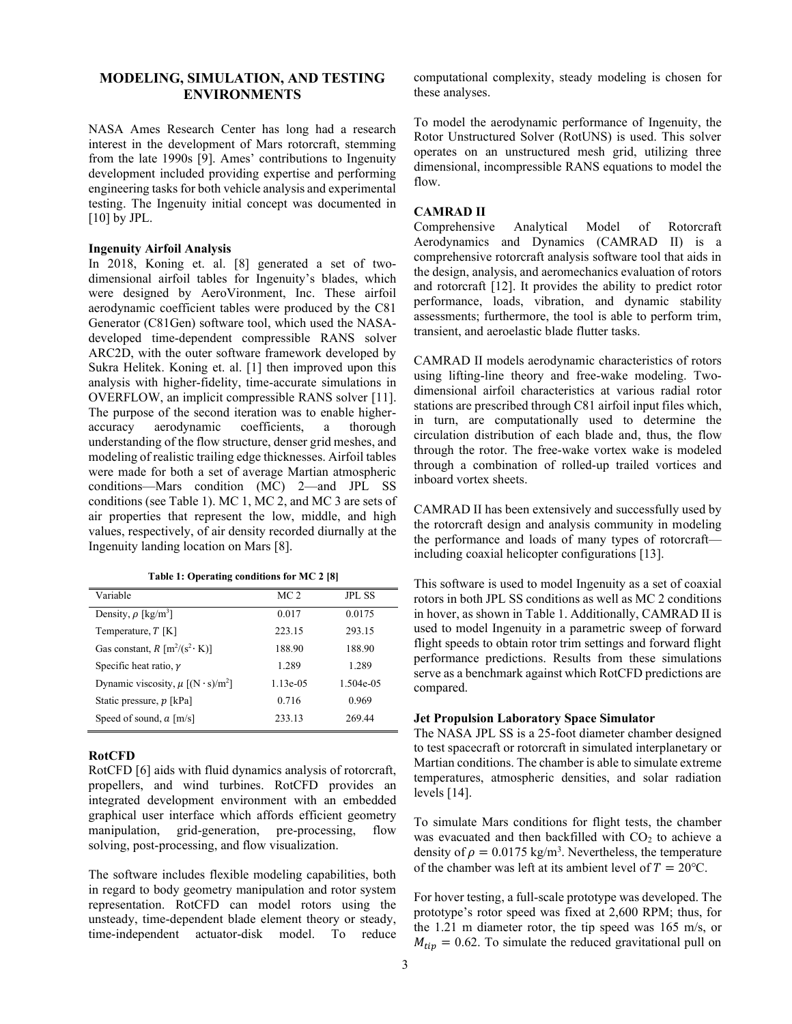# **MODELING, SIMULATION, AND TESTING ENVIRONMENTS**

NASA Ames Research Center has long had a research interest in the development of Mars rotorcraft, stemming from the late 1990s [9]. Ames' contributions to Ingenuity development included providing expertise and performing engineering tasks for both vehicle analysis and experimental testing. The Ingenuity initial concept was documented in [10] by JPL.

# **Ingenuity Airfoil Analysis**

In 2018, Koning et. al. [8] generated a set of twodimensional airfoil tables for Ingenuity's blades, which were designed by AeroVironment, Inc. These airfoil aerodynamic coefficient tables were produced by the C81 Generator (C81Gen) software tool, which used the NASAdeveloped time-dependent compressible RANS solver ARC2D, with the outer software framework developed by Sukra Helitek. Koning et. al. [1] then improved upon this analysis with higher-fidelity, time-accurate simulations in OVERFLOW, an implicit compressible RANS solver [11]. The purpose of the second iteration was to enable higheraccuracy aerodynamic coefficients, a thorough understanding of the flow structure, denser grid meshes, and modeling of realistic trailing edge thicknesses. Airfoil tables were made for both a set of average Martian atmospheric conditions—Mars condition (MC) 2—and JPL SS conditions (see Table 1). MC 1, MC 2, and MC 3 are sets of air properties that represent the low, middle, and high values, respectively, of air density recorded diurnally at the Ingenuity landing location on Mars [8].

|  |  | Table 1: Operating conditions for MC 2 [8] |  |  |  |
|--|--|--------------------------------------------|--|--|--|
|--|--|--------------------------------------------|--|--|--|

| Variable                                           | MC <sub>2</sub> | <b>JPL SS</b> |
|----------------------------------------------------|-----------------|---------------|
| Density, $\rho$ [kg/m <sup>3</sup> ]               | 0.017           | 0.0175        |
| Temperature, $T$ [K]                               | 223.15          | 293.15        |
| Gas constant, $R \left[ m^2/(s^2 \cdot K) \right]$ | 188.90          | 188.90        |
| Specific heat ratio, $\nu$                         | 1.289           | 1.289         |
| Dynamic viscosity, $\mu$ [(N · s)/m <sup>2</sup> ] | $1.13e-0.5$     | 1.504e-05     |
| Static pressure, p [kPa]                           | 0.716           | 0.969         |
| Speed of sound, $a \lfloor m/s \rfloor$            | 233.13          | 269.44        |
|                                                    |                 |               |

#### **RotCFD**

RotCFD [6] aids with fluid dynamics analysis of rotorcraft, propellers, and wind turbines. RotCFD provides an integrated development environment with an embedded graphical user interface which affords efficient geometry manipulation, grid-generation, pre-processing, flow solving, post-processing, and flow visualization.

The software includes flexible modeling capabilities, both in regard to body geometry manipulation and rotor system representation. RotCFD can model rotors using the unsteady, time-dependent blade element theory or steady, time-independent actuator-disk model. To reduce computational complexity, steady modeling is chosen for these analyses.

To model the aerodynamic performance of Ingenuity, the Rotor Unstructured Solver (RotUNS) is used. This solver operates on an unstructured mesh grid, utilizing three dimensional, incompressible RANS equations to model the flow.

### **CAMRAD II**

Comprehensive Analytical Model of Rotorcraft Aerodynamics and Dynamics (CAMRAD II) is a comprehensive rotorcraft analysis software tool that aids in the design, analysis, and aeromechanics evaluation of rotors and rotorcraft [12]. It provides the ability to predict rotor performance, loads, vibration, and dynamic stability assessments; furthermore, the tool is able to perform trim, transient, and aeroelastic blade flutter tasks.

CAMRAD II models aerodynamic characteristics of rotors using lifting-line theory and free-wake modeling. Twodimensional airfoil characteristics at various radial rotor stations are prescribed through C81 airfoil input files which, in turn, are computationally used to determine the circulation distribution of each blade and, thus, the flow through the rotor. The free-wake vortex wake is modeled through a combination of rolled-up trailed vortices and inboard vortex sheets.

CAMRAD II has been extensively and successfully used by the rotorcraft design and analysis community in modeling the performance and loads of many types of rotorcraft including coaxial helicopter configurations [13].

This software is used to model Ingenuity as a set of coaxial rotors in both JPL SS conditions as well as MC 2 conditions in hover, as shown in Table 1. Additionally, CAMRAD II is used to model Ingenuity in a parametric sweep of forward flight speeds to obtain rotor trim settings and forward flight performance predictions. Results from these simulations serve as a benchmark against which RotCFD predictions are compared.

# **Jet Propulsion Laboratory Space Simulator**

The NASA JPL SS is a 25-foot diameter chamber designed to test spacecraft or rotorcraft in simulated interplanetary or Martian conditions. The chamber is able to simulate extreme temperatures, atmospheric densities, and solar radiation levels [14].

To simulate Mars conditions for flight tests, the chamber was evacuated and then backfilled with  $CO<sub>2</sub>$  to achieve a density of  $\rho = 0.0175 \text{ kg/m}^3$ . Nevertheless, the temperature of the chamber was left at its ambient level of  $T = 20$ °C.

For hover testing, a full-scale prototype was developed. The prototype's rotor speed was fixed at 2,600 RPM; thus, for the 1.21 m diameter rotor, the tip speed was 165 m/s, or  $M_{tip} = 0.62$ . To simulate the reduced gravitational pull on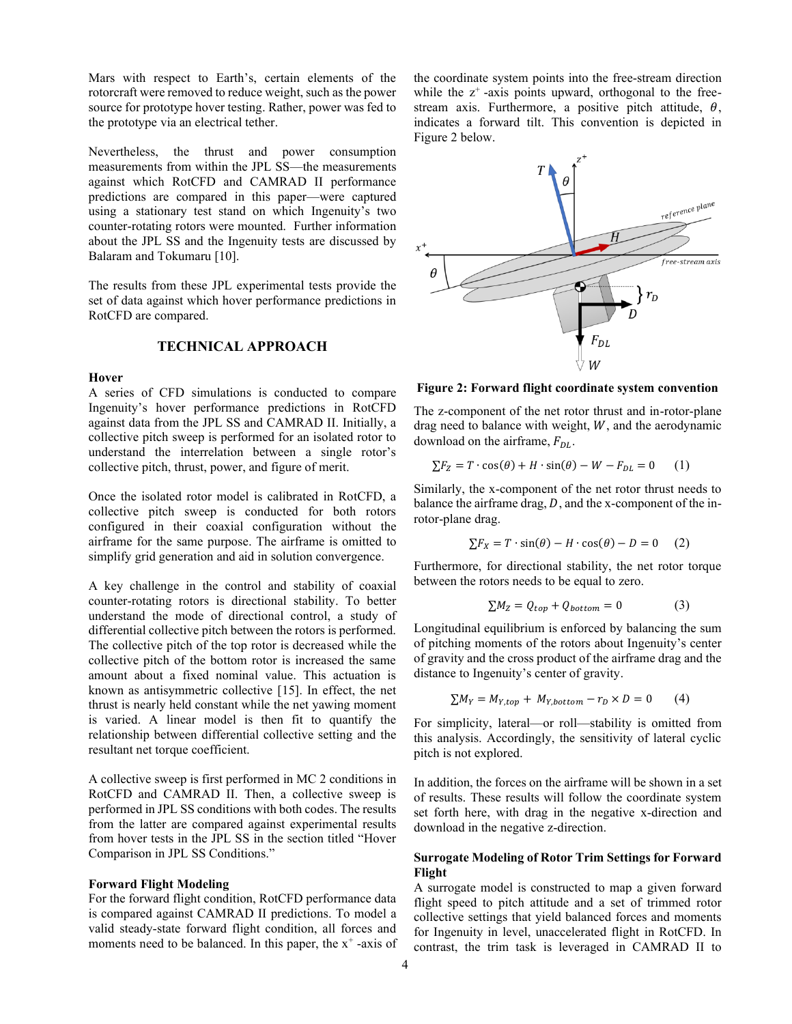Mars with respect to Earth's, certain elements of the rotorcraft were removed to reduce weight, such as the power source for prototype hover testing. Rather, power was fed to the prototype via an electrical tether.

Nevertheless, the thrust and power consumption measurements from within the JPL SS—the measurements against which RotCFD and CAMRAD II performance predictions are compared in this paper—were captured using a stationary test stand on which Ingenuity's two counter-rotating rotors were mounted. Further information about the JPL SS and the Ingenuity tests are discussed by Balaram and Tokumaru [10].

The results from these JPL experimental tests provide the set of data against which hover performance predictions in RotCFD are compared.

# **TECHNICAL APPROACH**

#### **Hover**

A series of CFD simulations is conducted to compare Ingenuity's hover performance predictions in RotCFD against data from the JPL SS and CAMRAD II. Initially, a collective pitch sweep is performed for an isolated rotor to understand the interrelation between a single rotor's collective pitch, thrust, power, and figure of merit.

Once the isolated rotor model is calibrated in RotCFD, a collective pitch sweep is conducted for both rotors configured in their coaxial configuration without the airframe for the same purpose. The airframe is omitted to simplify grid generation and aid in solution convergence.

A key challenge in the control and stability of coaxial counter-rotating rotors is directional stability. To better understand the mode of directional control, a study of differential collective pitch between the rotors is performed. The collective pitch of the top rotor is decreased while the collective pitch of the bottom rotor is increased the same amount about a fixed nominal value. This actuation is known as antisymmetric collective [15]. In effect, the net thrust is nearly held constant while the net yawing moment is varied. A linear model is then fit to quantify the relationship between differential collective setting and the resultant net torque coefficient.

A collective sweep is first performed in MC 2 conditions in RotCFD and CAMRAD II. Then, a collective sweep is performed in JPL SS conditions with both codes. The results from the latter are compared against experimental results from hover tests in the JPL SS in the section titled "Hover Comparison in JPL SS Conditions."

#### **Forward Flight Modeling**

For the forward flight condition, RotCFD performance data is compared against CAMRAD II predictions. To model a valid steady-state forward flight condition, all forces and moments need to be balanced. In this paper, the  $x^+$ -axis of the coordinate system points into the free-stream direction while the  $z^+$ -axis points upward, orthogonal to the freestream axis. Furthermore, a positive pitch attitude,  $\theta$ , indicates a forward tilt. This convention is depicted in Figure 2 below.



**Figure 2: Forward flight coordinate system convention**

The z-component of the net rotor thrust and in-rotor-plane drag need to balance with weight,  $W$ , and the aerodynamic download on the airframe,  $F_{DL}$ .

$$
\sum F_Z = T \cdot \cos(\theta) + H \cdot \sin(\theta) - W - F_{DL} = 0 \tag{1}
$$

Similarly, the x-component of the net rotor thrust needs to balance the airframe drag,  $D$ , and the x-component of the inrotor-plane drag.

$$
\sum F_X = T \cdot \sin(\theta) - H \cdot \cos(\theta) - D = 0 \quad (2)
$$

Furthermore, for directional stability, the net rotor torque between the rotors needs to be equal to zero.

$$
\sum M_Z = Q_{top} + Q_{bottom} = 0 \tag{3}
$$

Longitudinal equilibrium is enforced by balancing the sum of pitching moments of the rotors about Ingenuity's center of gravity and the cross product of the airframe drag and the distance to Ingenuity's center of gravity.

$$
\sum M_Y = M_{Y, top} + M_{Y, bottom} - r_D \times D = 0 \tag{4}
$$

For simplicity, lateral—or roll—stability is omitted from this analysis. Accordingly, the sensitivity of lateral cyclic pitch is not explored.

In addition, the forces on the airframe will be shown in a set of results. These results will follow the coordinate system set forth here, with drag in the negative x-direction and download in the negative z-direction.

# **Surrogate Modeling of Rotor Trim Settings for Forward Flight**

A surrogate model is constructed to map a given forward flight speed to pitch attitude and a set of trimmed rotor collective settings that yield balanced forces and moments for Ingenuity in level, unaccelerated flight in RotCFD. In contrast, the trim task is leveraged in CAMRAD II to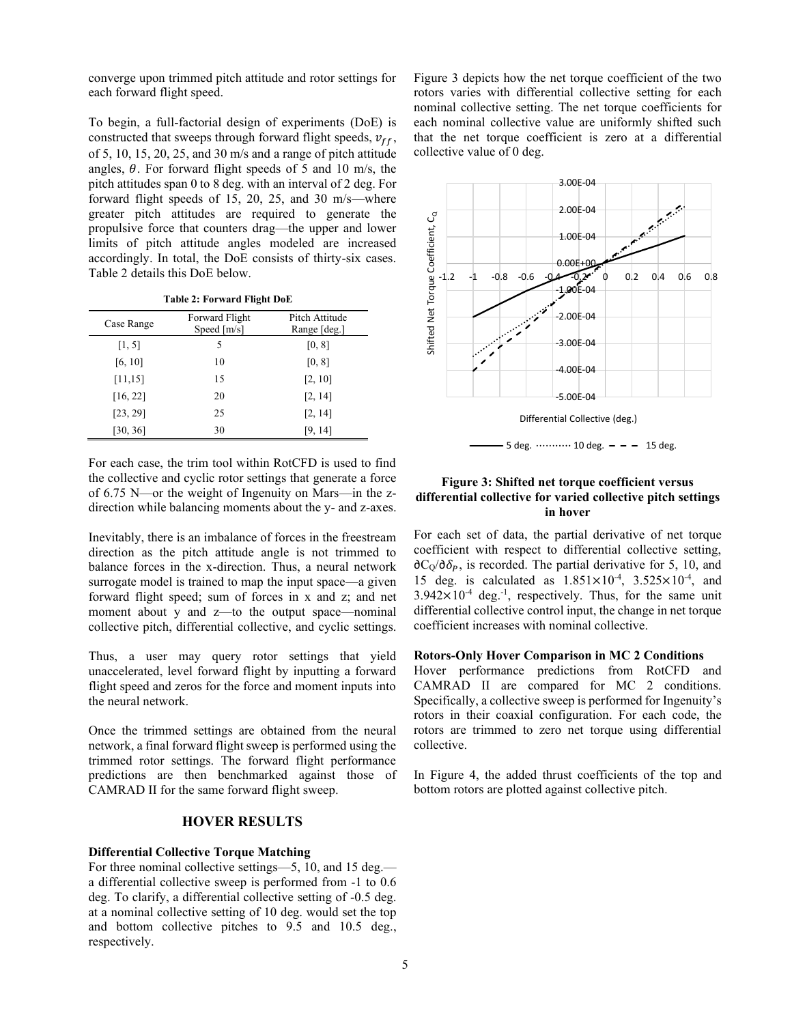converge upon trimmed pitch attitude and rotor settings for each forward flight speed.

To begin, a full-factorial design of experiments (DoE) is constructed that sweeps through forward flight speeds,  $v_{ff}$ , of 5, 10, 15, 20, 25, and 30 m/s and a range of pitch attitude angles,  $\theta$ . For forward flight speeds of 5 and 10 m/s, the pitch attitudes span 0 to 8 deg. with an interval of 2 deg. For forward flight speeds of 15, 20, 25, and 30 m/s—where greater pitch attitudes are required to generate the propulsive force that counters drag—the upper and lower limits of pitch attitude angles modeled are increased accordingly. In total, the DoE consists of thirty-six cases. Table 2 details this DoE below.

|  |  | Table 2: Forward Flight DoE |  |  |
|--|--|-----------------------------|--|--|
|--|--|-----------------------------|--|--|

| Case Range | Forward Flight<br>Speed $[m/s]$ | Pitch Attitude<br>Range [deg.] |
|------------|---------------------------------|--------------------------------|
| [1, 5]     | 5                               | [0, 8]                         |
| [6, 10]    | 10                              | [0, 8]                         |
| [11, 15]   | 15                              | [2, 10]                        |
| [16, 22]   | 20                              | [2, 14]                        |
| [23, 29]   | 25                              | [2, 14]                        |
| [30, 36]   | 30                              | [9, 14]                        |

For each case, the trim tool within RotCFD is used to find the collective and cyclic rotor settings that generate a force of 6.75 N—or the weight of Ingenuity on Mars—in the zdirection while balancing moments about the y- and z-axes.

Inevitably, there is an imbalance of forces in the freestream direction as the pitch attitude angle is not trimmed to balance forces in the x-direction. Thus, a neural network surrogate model is trained to map the input space—a given forward flight speed; sum of forces in x and z; and net moment about y and z—to the output space—nominal collective pitch, differential collective, and cyclic settings.

Thus, a user may query rotor settings that yield unaccelerated, level forward flight by inputting a forward flight speed and zeros for the force and moment inputs into the neural network.

Once the trimmed settings are obtained from the neural network, a final forward flight sweep is performed using the trimmed rotor settings. The forward flight performance predictions are then benchmarked against those of CAMRAD II for the same forward flight sweep.

# **HOVER RESULTS**

# **Differential Collective Torque Matching**

For three nominal collective settings—5, 10, and 15 deg. a differential collective sweep is performed from -1 to 0.6 deg. To clarify, a differential collective setting of -0.5 deg. at a nominal collective setting of 10 deg. would set the top and bottom collective pitches to 9.5 and 10.5 deg., respectively.

Figure 3 depicts how the net torque coefficient of the two rotors varies with differential collective setting for each nominal collective setting. The net torque coefficients for each nominal collective value are uniformly shifted such that the net torque coefficient is zero at a differential collective value of 0 deg.





# **Figure 3: Shifted net torque coefficient versus differential collective for varied collective pitch settings in hover**

For each set of data, the partial derivative of net torque coefficient with respect to differential collective setting,  $\partial C_{\Omega}/\partial \delta_{P}$ , is recorded. The partial derivative for 5, 10, and 15 deg. is calculated as  $1.851 \times 10^{-4}$ ,  $3.525 \times 10^{-4}$ , and  $3.942 \times 10^{-4}$  deg.<sup>-1</sup>, respectively. Thus, for the same unit differential collective control input, the change in net torque coefficient increases with nominal collective.

#### **Rotors-Only Hover Comparison in MC 2 Conditions**

Hover performance predictions from RotCFD and CAMRAD II are compared for MC 2 conditions. Specifically, a collective sweep is performed for Ingenuity's rotors in their coaxial configuration. For each code, the rotors are trimmed to zero net torque using differential collective.

In Figure 4, the added thrust coefficients of the top and bottom rotors are plotted against collective pitch.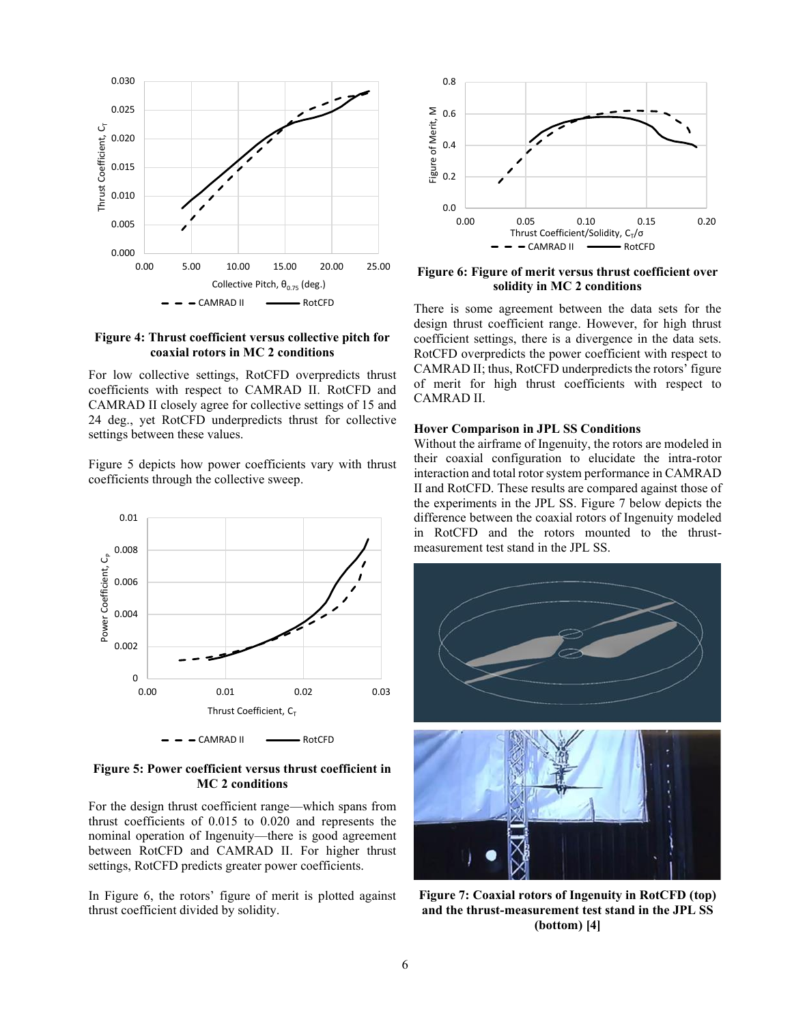

### **Figure 4: Thrust coefficient versus collective pitch for coaxial rotors in MC 2 conditions**

For low collective settings, RotCFD overpredicts thrust coefficients with respect to CAMRAD II. RotCFD and CAMRAD II closely agree for collective settings of 15 and 24 deg., yet RotCFD underpredicts thrust for collective settings between these values.

Figure 5 depicts how power coefficients vary with thrust coefficients through the collective sweep.



# **Figure 5: Power coefficient versus thrust coefficient in MC 2 conditions**

For the design thrust coefficient range—which spans from thrust coefficients of 0.015 to 0.020 and represents the nominal operation of Ingenuity—there is good agreement between RotCFD and CAMRAD II. For higher thrust settings, RotCFD predicts greater power coefficients.

In Figure 6, the rotors' figure of merit is plotted against thrust coefficient divided by solidity.



**Figure 6: Figure of merit versus thrust coefficient over solidity in MC 2 conditions**

There is some agreement between the data sets for the design thrust coefficient range. However, for high thrust coefficient settings, there is a divergence in the data sets. RotCFD overpredicts the power coefficient with respect to CAMRAD II; thus, RotCFD underpredicts the rotors' figure of merit for high thrust coefficients with respect to CAMRAD II.

### **Hover Comparison in JPL SS Conditions**

Without the airframe of Ingenuity, the rotors are modeled in their coaxial configuration to elucidate the intra-rotor interaction and total rotor system performance in CAMRAD II and RotCFD. These results are compared against those of the experiments in the JPL SS. Figure 7 below depicts the difference between the coaxial rotors of Ingenuity modeled in RotCFD and the rotors mounted to the thrustmeasurement test stand in the JPL SS.



**Figure 7: Coaxial rotors of Ingenuity in RotCFD (top) and the thrust-measurement test stand in the JPL SS (bottom) [4]**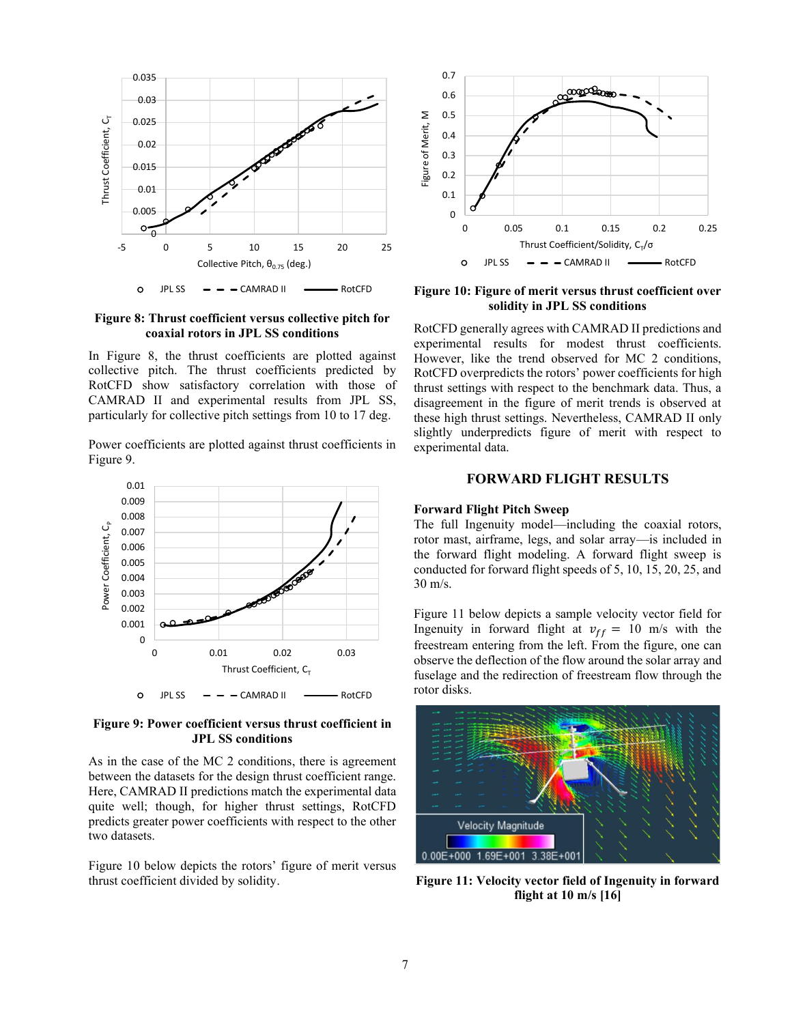

**Figure 8: Thrust coefficient versus collective pitch for coaxial rotors in JPL SS conditions**

In Figure 8, the thrust coefficients are plotted against collective pitch. The thrust coefficients predicted by RotCFD show satisfactory correlation with those of CAMRAD II and experimental results from JPL SS, particularly for collective pitch settings from 10 to 17 deg.

Power coefficients are plotted against thrust coefficients in Figure 9.



**Figure 9: Power coefficient versus thrust coefficient in JPL SS conditions**

As in the case of the MC 2 conditions, there is agreement between the datasets for the design thrust coefficient range. Here, CAMRAD II predictions match the experimental data quite well; though, for higher thrust settings, RotCFD predicts greater power coefficients with respect to the other two datasets.

Figure 10 below depicts the rotors' figure of merit versus thrust coefficient divided by solidity.



**Figure 10: Figure of merit versus thrust coefficient over solidity in JPL SS conditions**

RotCFD generally agrees with CAMRAD II predictions and experimental results for modest thrust coefficients. However, like the trend observed for MC 2 conditions, RotCFD overpredicts the rotors' power coefficients for high thrust settings with respect to the benchmark data. Thus, a disagreement in the figure of merit trends is observed at these high thrust settings. Nevertheless, CAMRAD II only slightly underpredicts figure of merit with respect to experimental data.

# **FORWARD FLIGHT RESULTS**

#### **Forward Flight Pitch Sweep**

The full Ingenuity model—including the coaxial rotors, rotor mast, airframe, legs, and solar array—is included in the forward flight modeling. A forward flight sweep is conducted for forward flight speeds of 5, 10, 15, 20, 25, and 30 m/s.

Figure 11 below depicts a sample velocity vector field for Ingenuity in forward flight at  $v_{ff} = 10$  m/s with the freestream entering from the left. From the figure, one can observe the deflection of the flow around the solar array and fuselage and the redirection of freestream flow through the rotor disks.



**Figure 11: Velocity vector field of Ingenuity in forward flight at 10 m/s [16]**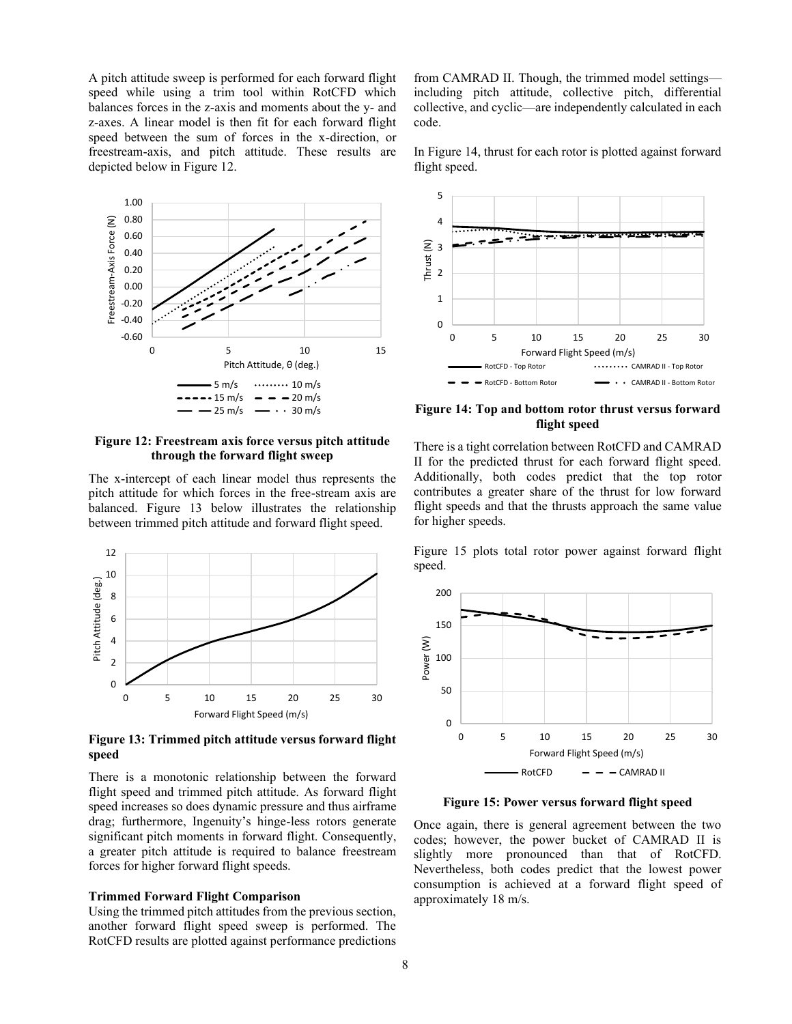A pitch attitude sweep is performed for each forward flight speed while using a trim tool within RotCFD which balances forces in the z-axis and moments about the y- and z-axes. A linear model is then fit for each forward flight speed between the sum of forces in the x-direction, or freestream-axis, and pitch attitude. These results are depicted below in Figure 12.



**Figure 12: Freestream axis force versus pitch attitude through the forward flight sweep**

The x-intercept of each linear model thus represents the pitch attitude for which forces in the free-stream axis are balanced. Figure 13 below illustrates the relationship between trimmed pitch attitude and forward flight speed.



**Figure 13: Trimmed pitch attitude versus forward flight speed**

There is a monotonic relationship between the forward flight speed and trimmed pitch attitude. As forward flight speed increases so does dynamic pressure and thus airframe drag; furthermore, Ingenuity's hinge-less rotors generate significant pitch moments in forward flight. Consequently, a greater pitch attitude is required to balance freestream forces for higher forward flight speeds.

# **Trimmed Forward Flight Comparison**

Using the trimmed pitch attitudes from the previous section, another forward flight speed sweep is performed. The RotCFD results are plotted against performance predictions

from CAMRAD II. Though, the trimmed model settings including pitch attitude, collective pitch, differential collective, and cyclic—are independently calculated in each code.

In Figure 14, thrust for each rotor is plotted against forward flight speed.



**Figure 14: Top and bottom rotor thrust versus forward flight speed**

There is a tight correlation between RotCFD and CAMRAD II for the predicted thrust for each forward flight speed. Additionally, both codes predict that the top rotor contributes a greater share of the thrust for low forward flight speeds and that the thrusts approach the same value for higher speeds.

Figure 15 plots total rotor power against forward flight speed.



**Figure 15: Power versus forward flight speed**

Once again, there is general agreement between the two codes; however, the power bucket of CAMRAD II is slightly more pronounced than that of RotCFD. Nevertheless, both codes predict that the lowest power consumption is achieved at a forward flight speed of approximately 18 m/s.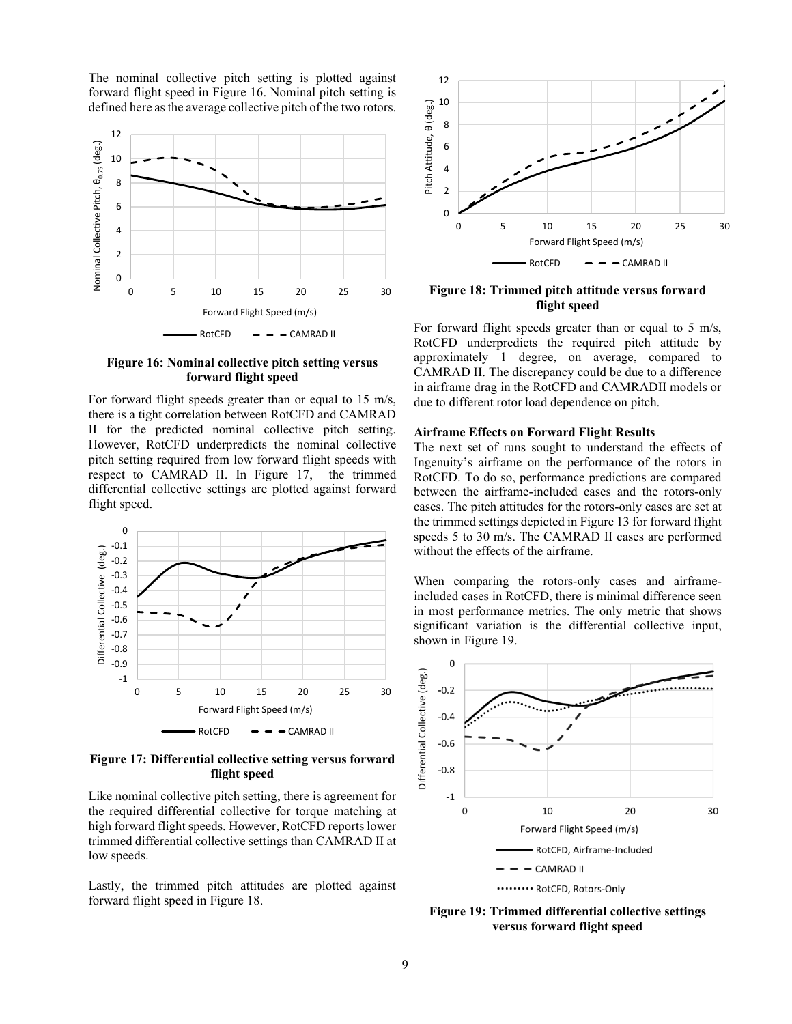The nominal collective pitch setting is plotted against forward flight speed in Figure 16. Nominal pitch setting is defined here as the average collective pitch of the two rotors.



# **Figure 16: Nominal collective pitch setting versus forward flight speed**

For forward flight speeds greater than or equal to 15 m/s, there is a tight correlation between RotCFD and CAMRAD II for the predicted nominal collective pitch setting. However, RotCFD underpredicts the nominal collective pitch setting required from low forward flight speeds with respect to CAMRAD II. In Figure 17, the trimmed differential collective settings are plotted against forward flight speed.



**Figure 17: Differential collective setting versus forward flight speed**

Like nominal collective pitch setting, there is agreement for the required differential collective for torque matching at high forward flight speeds. However, RotCFD reports lower trimmed differential collective settings than CAMRAD II at low speeds.

Lastly, the trimmed pitch attitudes are plotted against forward flight speed in Figure 18.



**Figure 18: Trimmed pitch attitude versus forward flight speed**

For forward flight speeds greater than or equal to 5 m/s, RotCFD underpredicts the required pitch attitude by approximately 1 degree, on average, compared to CAMRAD II. The discrepancy could be due to a difference in airframe drag in the RotCFD and CAMRADII models or due to different rotor load dependence on pitch.

#### **Airframe Effects on Forward Flight Results**

The next set of runs sought to understand the effects of Ingenuity's airframe on the performance of the rotors in RotCFD. To do so, performance predictions are compared between the airframe-included cases and the rotors-only cases. The pitch attitudes for the rotors-only cases are set at the trimmed settings depicted in Figure 13 for forward flight speeds 5 to 30 m/s. The CAMRAD II cases are performed without the effects of the airframe.

When comparing the rotors-only cases and airframeincluded cases in RotCFD, there is minimal difference seen in most performance metrics. The only metric that shows significant variation is the differential collective input, shown in Figure 19.



**Figure 19: Trimmed differential collective settings versus forward flight speed**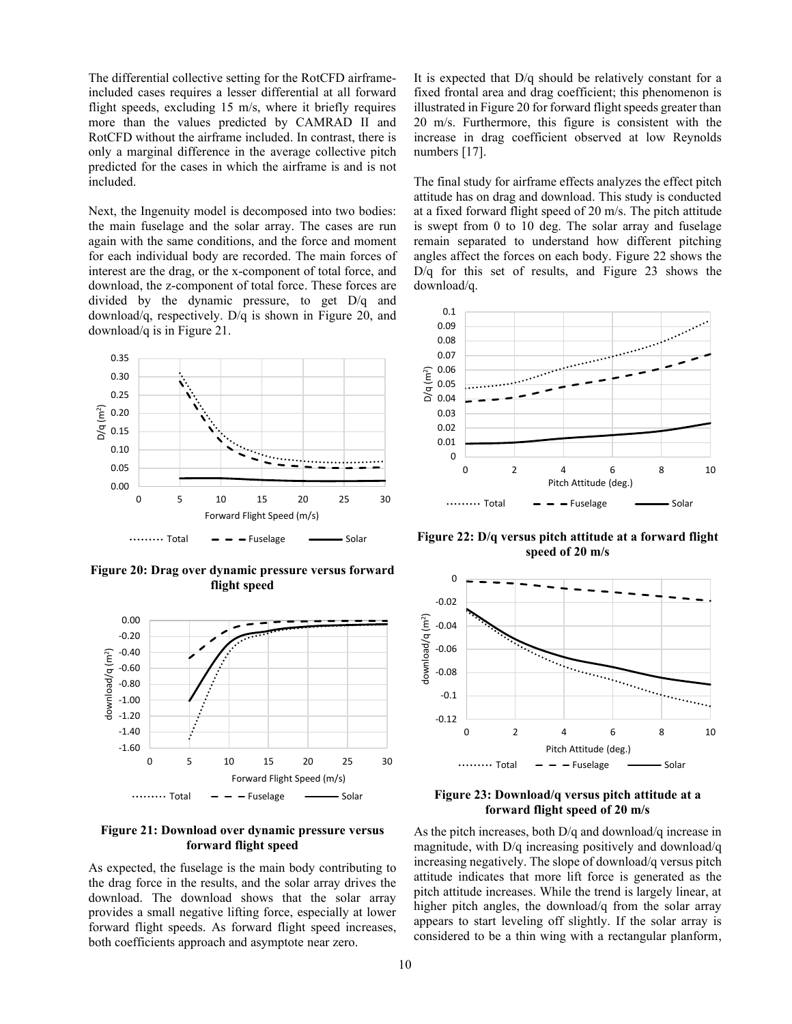The differential collective setting for the RotCFD airframeincluded cases requires a lesser differential at all forward flight speeds, excluding 15 m/s, where it briefly requires more than the values predicted by CAMRAD II and RotCFD without the airframe included. In contrast, there is only a marginal difference in the average collective pitch predicted for the cases in which the airframe is and is not included.

Next, the Ingenuity model is decomposed into two bodies: the main fuselage and the solar array. The cases are run again with the same conditions, and the force and moment for each individual body are recorded. The main forces of interest are the drag, or the x-component of total force, and download, the z-component of total force. These forces are divided by the dynamic pressure, to get D/q and download/q, respectively. D/q is shown in Figure 20, and download/q is in Figure 21.



**Figure 20: Drag over dynamic pressure versus forward flight speed**



**Figure 21: Download over dynamic pressure versus forward flight speed**

As expected, the fuselage is the main body contributing to the drag force in the results, and the solar array drives the download. The download shows that the solar array provides a small negative lifting force, especially at lower forward flight speeds. As forward flight speed increases, both coefficients approach and asymptote near zero.

It is expected that D/q should be relatively constant for a fixed frontal area and drag coefficient; this phenomenon is illustrated in Figure 20 for forward flight speeds greater than 20 m/s. Furthermore, this figure is consistent with the increase in drag coefficient observed at low Reynolds numbers [17].

The final study for airframe effects analyzes the effect pitch attitude has on drag and download. This study is conducted at a fixed forward flight speed of 20 m/s. The pitch attitude is swept from 0 to 10 deg. The solar array and fuselage remain separated to understand how different pitching angles affect the forces on each body. Figure 22 shows the D/q for this set of results, and Figure 23 shows the download/q.



**Figure 22: D/q versus pitch attitude at a forward flight speed of 20 m/s**



**Figure 23: Download/q versus pitch attitude at a forward flight speed of 20 m/s**

As the pitch increases, both D/q and download/q increase in magnitude, with D/q increasing positively and download/q increasing negatively. The slope of download/q versus pitch attitude indicates that more lift force is generated as the pitch attitude increases. While the trend is largely linear, at higher pitch angles, the download/q from the solar array appears to start leveling off slightly. If the solar array is considered to be a thin wing with a rectangular planform,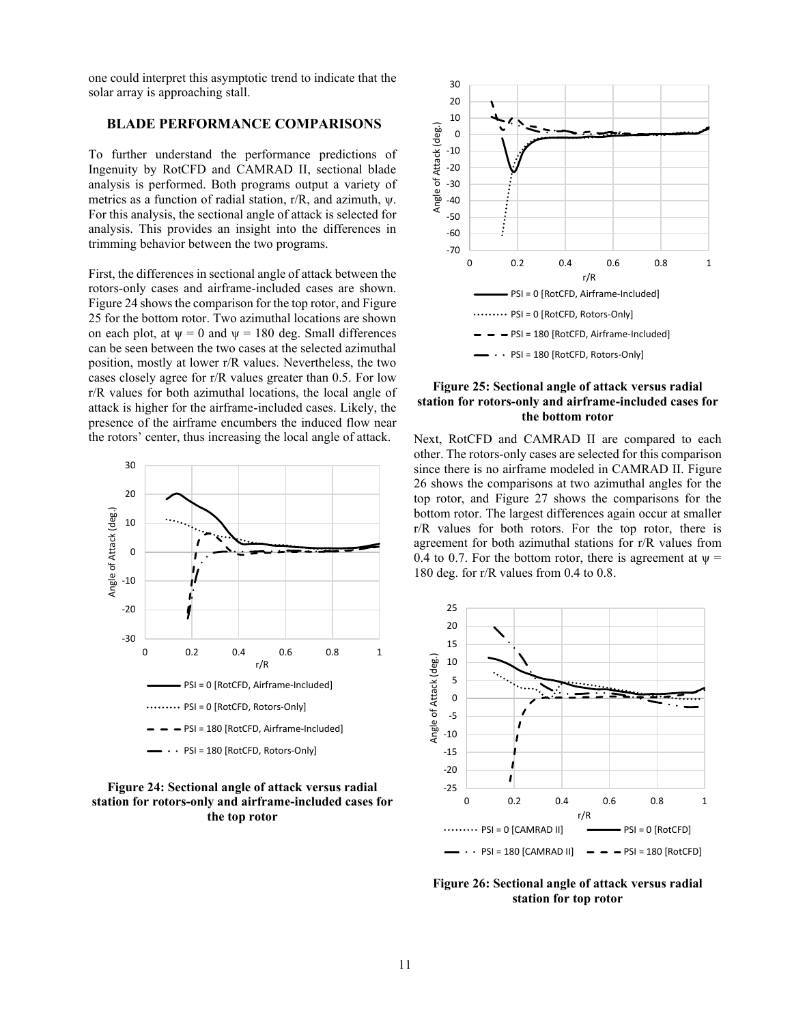one could interpret this asymptotic trend to indicate that the solar array is approaching stall.

# **BLADE PERFORMANCE COMPARISONS**

To further understand the performance predictions of Ingenuity by RotCFD and CAMRAD II, sectional blade analysis is performed. Both programs output a variety of metrics as a function of radial station, r/R, and azimuth, ψ. For this analysis, the sectional angle of attack is selected for analysis. This provides an insight into the differences in trimming behavior between the two programs.

First, the differences in sectional angle of attack between the rotors-only cases and airframe-included cases are shown. Figure 24 shows the comparison for the top rotor, and Figure 25 for the bottom rotor. Two azimuthal locations are shown on each plot, at  $\psi = 0$  and  $\psi = 180$  deg. Small differences can be seen between the two cases at the selected azimuthal position, mostly at lower r/R values. Nevertheless, the two cases closely agree for r/R values greater than 0.5. For low r/R values for both azimuthal locations, the local angle of attack is higher for the airframe-included cases. Likely, the presence of the airframe encumbers the induced flow near the rotors' center, thus increasing the local angle of attack.



# **Figure 24: Sectional angle of attack versus radial station for rotors-only and airframe-included cases for the top rotor**



### **Figure 25: Sectional angle of attack versus radial station for rotors-only and airframe-included cases for the bottom rotor**

Next, RotCFD and CAMRAD II are compared to each other. The rotors-only cases are selected for this comparison since there is no airframe modeled in CAMRAD II. Figure 26 shows the comparisons at two azimuthal angles for the top rotor, and Figure 27 shows the comparisons for the bottom rotor. The largest differences again occur at smaller r/R values for both rotors. For the top rotor, there is agreement for both azimuthal stations for r/R values from 0.4 to 0.7. For the bottom rotor, there is agreement at  $\psi$  = 180 deg. for r/R values from 0.4 to 0.8.



**Figure 26: Sectional angle of attack versus radial station for top rotor**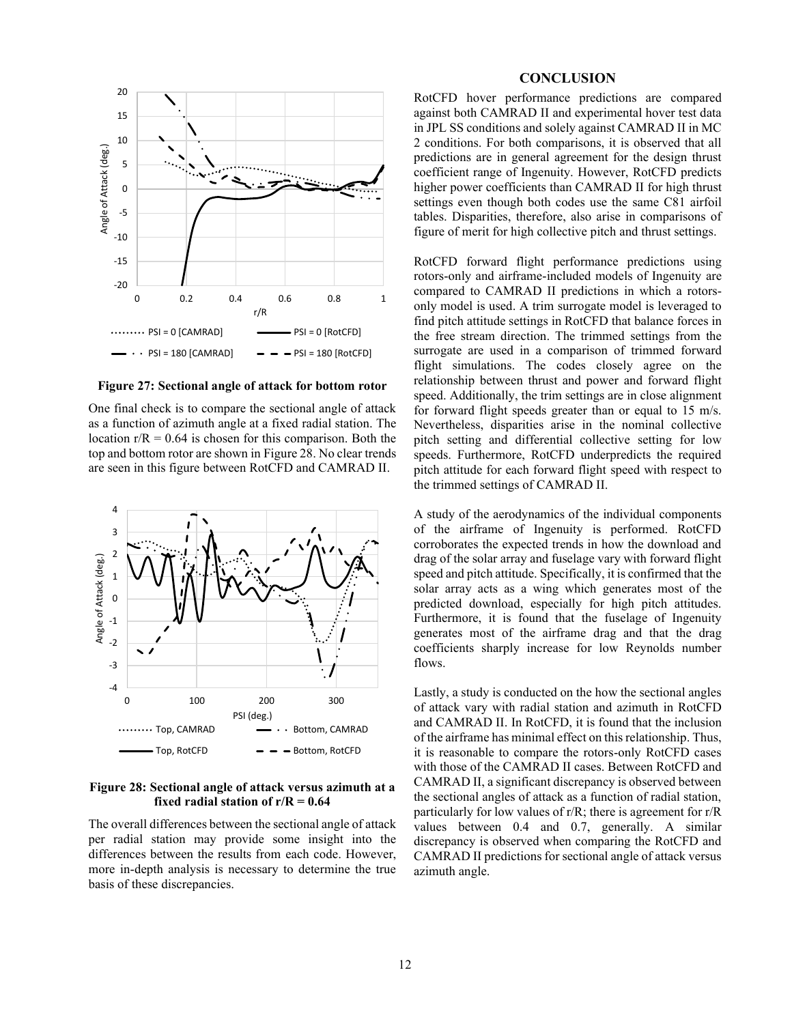

**Figure 27: Sectional angle of attack for bottom rotor**

One final check is to compare the sectional angle of attack as a function of azimuth angle at a fixed radial station. The location  $r/R = 0.64$  is chosen for this comparison. Both the top and bottom rotor are shown in Figure 28. No clear trends are seen in this figure between RotCFD and CAMRAD II.



**Figure 28: Sectional angle of attack versus azimuth at a fixed radial station of r/R = 0.64**

The overall differences between the sectional angle of attack per radial station may provide some insight into the differences between the results from each code. However, more in-depth analysis is necessary to determine the true basis of these discrepancies.

### **CONCLUSION**

RotCFD hover performance predictions are compared against both CAMRAD II and experimental hover test data in JPL SS conditions and solely against CAMRAD II in MC 2 conditions. For both comparisons, it is observed that all predictions are in general agreement for the design thrust coefficient range of Ingenuity. However, RotCFD predicts higher power coefficients than CAMRAD II for high thrust settings even though both codes use the same C81 airfoil tables. Disparities, therefore, also arise in comparisons of figure of merit for high collective pitch and thrust settings.

RotCFD forward flight performance predictions using rotors-only and airframe-included models of Ingenuity are compared to CAMRAD II predictions in which a rotorsonly model is used. A trim surrogate model is leveraged to find pitch attitude settings in RotCFD that balance forces in the free stream direction. The trimmed settings from the surrogate are used in a comparison of trimmed forward flight simulations. The codes closely agree on the relationship between thrust and power and forward flight speed. Additionally, the trim settings are in close alignment for forward flight speeds greater than or equal to 15 m/s. Nevertheless, disparities arise in the nominal collective pitch setting and differential collective setting for low speeds. Furthermore, RotCFD underpredicts the required pitch attitude for each forward flight speed with respect to the trimmed settings of CAMRAD II.

A study of the aerodynamics of the individual components of the airframe of Ingenuity is performed. RotCFD corroborates the expected trends in how the download and drag of the solar array and fuselage vary with forward flight speed and pitch attitude. Specifically, it is confirmed that the solar array acts as a wing which generates most of the predicted download, especially for high pitch attitudes. Furthermore, it is found that the fuselage of Ingenuity generates most of the airframe drag and that the drag coefficients sharply increase for low Reynolds number flows.

Lastly, a study is conducted on the how the sectional angles of attack vary with radial station and azimuth in RotCFD and CAMRAD II. In RotCFD, it is found that the inclusion of the airframe has minimal effect on this relationship. Thus, it is reasonable to compare the rotors-only RotCFD cases with those of the CAMRAD II cases. Between RotCFD and CAMRAD II, a significant discrepancy is observed between the sectional angles of attack as a function of radial station, particularly for low values of r/R; there is agreement for r/R values between 0.4 and 0.7, generally. A similar discrepancy is observed when comparing the RotCFD and CAMRAD II predictions for sectional angle of attack versus azimuth angle.